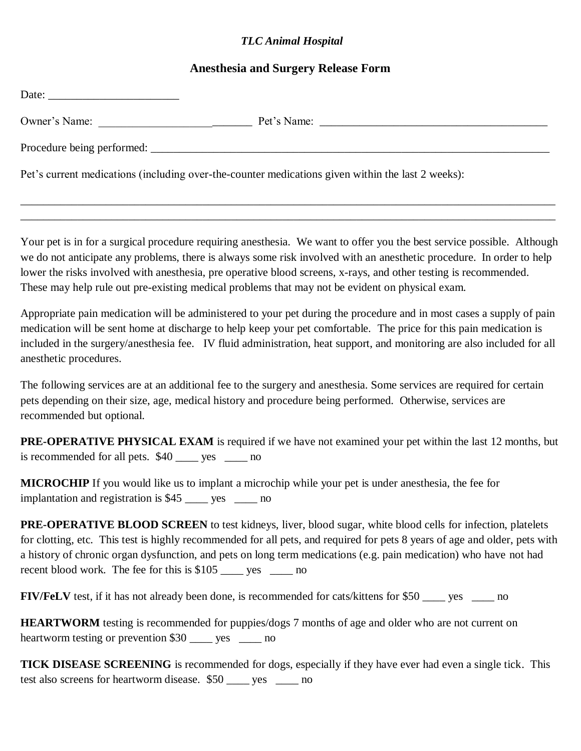## *TLC Animal Hospital*

### **Anesthesia and Surgery Release Form**

| Date: $\frac{1}{\sqrt{1-\frac{1}{2}} \cdot \frac{1}{2}}$                                          |  |
|---------------------------------------------------------------------------------------------------|--|
| Owner's Name:                                                                                     |  |
| Procedure being performed:                                                                        |  |
| Pet's current medications (including over-the-counter medications given within the last 2 weeks): |  |

\_\_\_\_\_\_\_\_\_\_\_\_\_\_\_\_\_\_\_\_\_\_\_\_\_\_\_\_\_\_\_\_\_\_\_\_\_\_\_\_\_\_\_\_\_\_\_\_\_\_\_\_\_\_\_\_\_\_\_\_\_\_\_\_\_\_\_\_\_\_\_\_\_\_\_\_\_\_\_\_\_\_\_\_\_\_\_\_\_\_\_\_\_\_ \_\_\_\_\_\_\_\_\_\_\_\_\_\_\_\_\_\_\_\_\_\_\_\_\_\_\_\_\_\_\_\_\_\_\_\_\_\_\_\_\_\_\_\_\_\_\_\_\_\_\_\_\_\_\_\_\_\_\_\_\_\_\_\_\_\_\_\_\_\_\_\_\_\_\_\_\_\_\_\_\_\_\_\_\_\_\_\_\_\_\_\_\_\_

Your pet is in for a surgical procedure requiring anesthesia. We want to offer you the best service possible. Although we do not anticipate any problems, there is always some risk involved with an anesthetic procedure. In order to help lower the risks involved with anesthesia, pre operative blood screens, x-rays, and other testing is recommended. These may help rule out pre-existing medical problems that may not be evident on physical exam.

Appropriate pain medication will be administered to your pet during the procedure and in most cases a supply of pain medication will be sent home at discharge to help keep your pet comfortable. The price for this pain medication is included in the surgery/anesthesia fee. IV fluid administration, heat support, and monitoring are also included for all anesthetic procedures.

The following services are at an additional fee to the surgery and anesthesia. Some services are required for certain pets depending on their size, age, medical history and procedure being performed. Otherwise, services are recommended but optional.

**PRE-OPERATIVE PHYSICAL EXAM** is required if we have not examined your pet within the last 12 months, but is recommended for all pets. \$40 \_\_\_\_ yes \_\_\_\_ no

**MICROCHIP** If you would like us to implant a microchip while your pet is under anesthesia, the fee for implantation and registration is \$45 \_\_\_\_ yes \_\_\_\_ no

**PRE-OPERATIVE BLOOD SCREEN** to test kidneys, liver, blood sugar, white blood cells for infection, platelets for clotting, etc. This test is highly recommended for all pets, and required for pets 8 years of age and older, pets with a history of chronic organ dysfunction, and pets on long term medications (e.g. pain medication) who have not had recent blood work. The fee for this is \$105 \_\_\_\_\_ yes \_\_\_\_\_ no

**FIV/FeLV** test, if it has not already been done, is recommended for cats/kittens for \$50 \_\_\_\_ yes \_\_\_\_ no

**HEARTWORM** testing is recommended for puppies/dogs 7 months of age and older who are not current on heartworm testing or prevention \$30 wes ho

**TICK DISEASE SCREENING** is recommended for dogs, especially if they have ever had even a single tick. This test also screens for heartworm disease. \$50 wes how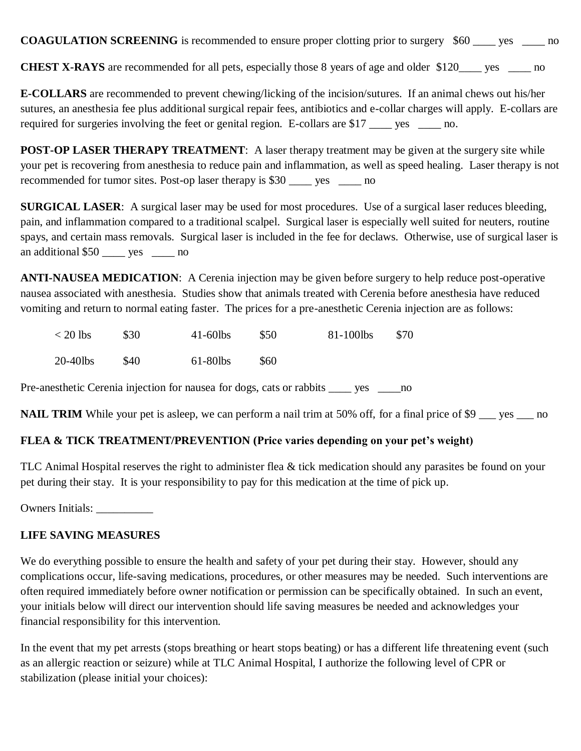**COAGULATION SCREENING** is recommended to ensure proper clotting prior to surgery \$60 \_\_\_\_ yes \_\_\_\_ no

**CHEST X-RAYS** are recommended for all pets, especially those 8 years of age and older \$120\_\_\_\_ yes \_\_\_\_ no

**E-COLLARS** are recommended to prevent chewing/licking of the incision/sutures. If an animal chews out his/her sutures, an anesthesia fee plus additional surgical repair fees, antibiotics and e-collar charges will apply. E-collars are required for surgeries involving the feet or genital region. E-collars are \$17 \_\_\_\_ yes \_\_\_\_ no.

**POST-OP LASER THERAPY TREATMENT:** A laser therapy treatment may be given at the surgery site while your pet is recovering from anesthesia to reduce pain and inflammation, as well as speed healing. Laser therapy is not recommended for tumor sites. Post-op laser therapy is \$30 \_\_\_\_ yes \_\_\_\_ no

**SURGICAL LASER:** A surgical laser may be used for most procedures. Use of a surgical laser reduces bleeding, pain, and inflammation compared to a traditional scalpel. Surgical laser is especially well suited for neuters, routine spays, and certain mass removals. Surgical laser is included in the fee for declaws. Otherwise, use of surgical laser is an additional \$50 \_\_\_\_ yes \_\_\_\_ no

**ANTI-NAUSEA MEDICATION**: A Cerenia injection may be given before surgery to help reduce post-operative nausea associated with anesthesia. Studies show that animals treated with Cerenia before anesthesia have reduced vomiting and return to normal eating faster. The prices for a pre-anesthetic Cerenia injection are as follows:

| $<$ 20 lbs | \$30 | $41-60$ lbs | \$50 | 81-100lbs | \$70 |
|------------|------|-------------|------|-----------|------|
| 20-40lbs   | \$40 | $61-80$ lbs | \$60 |           |      |

Pre-anesthetic Cerenia injection for nausea for dogs, cats or rabbits \_\_\_\_\_ yes \_\_\_\_\_ no

**NAIL TRIM** While your pet is asleep, we can perform a nail trim at 50% off, for a final price of \$9 \_\_\_ yes \_\_\_ no

## **FLEA & TICK TREATMENT/PREVENTION (Price varies depending on your pet's weight)**

TLC Animal Hospital reserves the right to administer flea & tick medication should any parasites be found on your pet during their stay. It is your responsibility to pay for this medication at the time of pick up.

Owners Initials:

## **LIFE SAVING MEASURES**

We do everything possible to ensure the health and safety of your pet during their stay. However, should any complications occur, life-saving medications, procedures, or other measures may be needed. Such interventions are often required immediately before owner notification or permission can be specifically obtained. In such an event, your initials below will direct our intervention should life saving measures be needed and acknowledges your financial responsibility for this intervention.

In the event that my pet arrests (stops breathing or heart stops beating) or has a different life threatening event (such as an allergic reaction or seizure) while at TLC Animal Hospital, I authorize the following level of CPR or stabilization (please initial your choices):